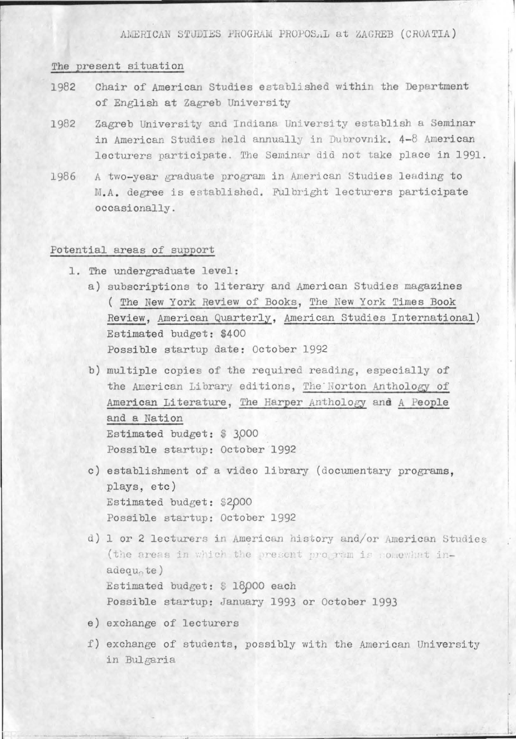AMERICAN STUDIES PROGRAM PROPOSAL at ZAGREB (CROATIA)

## The present situation

- Chair of American Studies established within the Department 1982 of English at Zagreb University
- Zagreb University and Indiana University establish a Seminar 1982 in American Studies held annually in Dubrovnik. 4-8 American lecturers participate. The Seminar did not take place in 1991.
- A two-year graduate program in American Studies leading to 1986 M.A. degree is established. Fulbright lecturers participate occasionally.

## Potential areas of support

- 1. The undergraduate level:
	- a) subscriptions to literary and American Studies magazines (The New York Review of Books, The New York Times Book Review, American Quarterly, American Studies International) Estimated budget: \$400 Possible startup date: October 1992
	- b) multiple copies of the required reading, especially of the American Library editions, The Norton Anthology of American Literature, The Harper Anthology and A People and a Nation Estimated budget: \$ 3,000 Possible startup: October 1992
	- c) establishment of a video library (documentary programs, plays, etc) Estimated budget: \$2,000 Possible startup: October 1992
	- d) 1 or 2 lecturers in American history and/or American Studies (the areas in which the present program is comewhat in $adequ<sub>n</sub>te)$ Estimated budget: \$ 18000 each Possible startup: January 1993 or October 1993
	- e) exchange of lecturers
	- f) exchange of students, possibly with the American University in Bulgaria